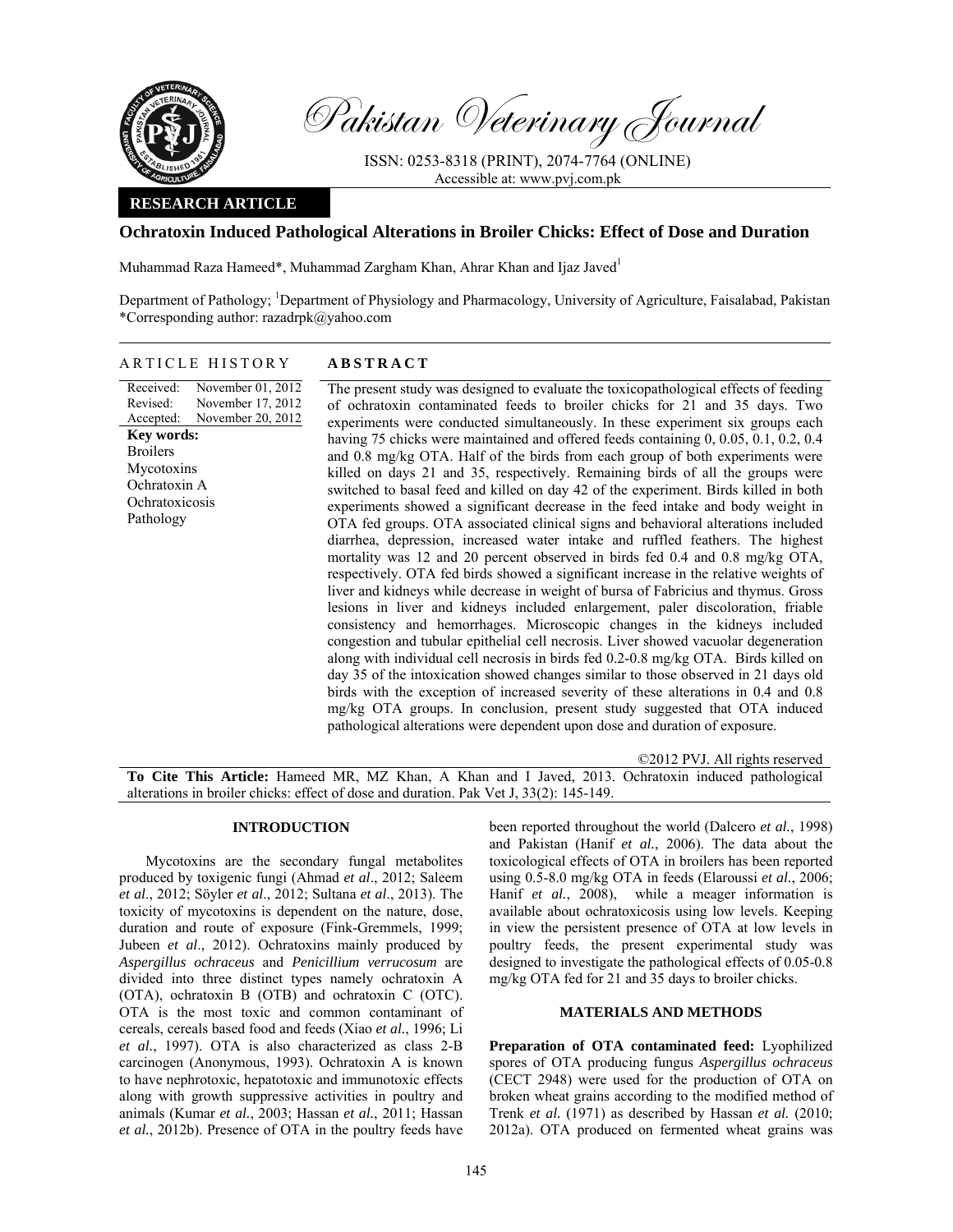

Pakistan Veterinary Journal

ISSN: 0253-8318 (PRINT), 2074-7764 (ONLINE) Accessible at: www.pvj.com.pk

# **RESEARCH ARTICLE**

# **Ochratoxin Induced Pathological Alterations in Broiler Chicks: Effect of Dose and Duration**

Muhammad Raza Hameed\*, Muhammad Zargham Khan, Ahrar Khan and Ijaz Javed<sup>1</sup>

Department of Pathology; <sup>1</sup>Department of Physiology and Pharmacology, University of Agriculture, Faisalabad, Pakistan \*Corresponding author: razadrpk@yahoo.com

| ARTICLE HISTORY                                                                                                                                                                                        | <b>ABSTRACT</b>                                                                                                                                                                                                                                                                                                                                                                                                                                                                                                                                                                                                                                                                                                                                                                                                                                                                                                                                                                                                                                                                                                                                                                                                                                                                                                                                                                                                                                                                                                                                                                                                                                                                                                                                                                                                     |
|--------------------------------------------------------------------------------------------------------------------------------------------------------------------------------------------------------|---------------------------------------------------------------------------------------------------------------------------------------------------------------------------------------------------------------------------------------------------------------------------------------------------------------------------------------------------------------------------------------------------------------------------------------------------------------------------------------------------------------------------------------------------------------------------------------------------------------------------------------------------------------------------------------------------------------------------------------------------------------------------------------------------------------------------------------------------------------------------------------------------------------------------------------------------------------------------------------------------------------------------------------------------------------------------------------------------------------------------------------------------------------------------------------------------------------------------------------------------------------------------------------------------------------------------------------------------------------------------------------------------------------------------------------------------------------------------------------------------------------------------------------------------------------------------------------------------------------------------------------------------------------------------------------------------------------------------------------------------------------------------------------------------------------------|
| Received:<br>November 01, 2012<br>November 17, 2012<br>Revised:<br>November 20, 2012<br>Accepted:<br><b>Key words:</b><br><b>Broilers</b><br>Mycotoxins<br>Ochratoxin A<br>Ochratoxicosis<br>Pathology | The present study was designed to evaluate the toxicopathological effects of feeding<br>of ochratoxin contaminated feeds to broiler chicks for 21 and 35 days. Two<br>experiments were conducted simultaneously. In these experiment six groups each<br>having 75 chicks were maintained and offered feeds containing 0, 0.05, 0.1, 0.2, 0.4<br>and 0.8 mg/kg OTA. Half of the birds from each group of both experiments were<br>killed on days 21 and 35, respectively. Remaining birds of all the groups were<br>switched to basal feed and killed on day 42 of the experiment. Birds killed in both<br>experiments showed a significant decrease in the feed intake and body weight in<br>OTA fed groups. OTA associated clinical signs and behavioral alterations included<br>diarrhea, depression, increased water intake and ruffled feathers. The highest<br>mortality was 12 and 20 percent observed in birds fed 0.4 and 0.8 mg/kg OTA,<br>respectively. OTA fed birds showed a significant increase in the relative weights of<br>liver and kidneys while decrease in weight of bursa of Fabricius and thymus. Gross<br>lesions in liver and kidneys included enlargement, paler discoloration, friable<br>consistency and hemorrhages. Microscopic changes in the kidneys included<br>congestion and tubular epithelial cell necrosis. Liver showed vacuolar degeneration<br>along with individual cell necrosis in birds fed 0.2-0.8 mg/kg OTA. Birds killed on<br>day 35 of the intoxication showed changes similar to those observed in 21 days old<br>birds with the exception of increased severity of these alterations in 0.4 and 0.8<br>mg/kg OTA groups. In conclusion, present study suggested that OTA induced<br>pathological alterations were dependent upon dose and duration of exposure. |
|                                                                                                                                                                                                        |                                                                                                                                                                                                                                                                                                                                                                                                                                                                                                                                                                                                                                                                                                                                                                                                                                                                                                                                                                                                                                                                                                                                                                                                                                                                                                                                                                                                                                                                                                                                                                                                                                                                                                                                                                                                                     |

©2012 PVJ. All rights reserved

**To Cite This Article:** Hameed MR, MZ Khan, A Khan and I Javed, 2013. Ochratoxin induced pathological alterations in broiler chicks: effect of dose and duration. Pak Vet J, 33(2): 145-149.

## **INTRODUCTION**

Mycotoxins are the secondary fungal metabolites produced by toxigenic fungi (Ahmad *et al*., 2012; Saleem *et al*., 2012; Söyler *et al*., 2012; Sultana *et al*., 2013). The toxicity of mycotoxins is dependent on the nature, dose, duration and route of exposure (Fink-Gremmels, 1999; Jubeen *et al*., 2012). Ochratoxins mainly produced by *Aspergillus ochraceus* and *Penicillium verrucosum* are divided into three distinct types namely ochratoxin A (OTA), ochratoxin B (OTB) and ochratoxin C (OTC). OTA is the most toxic and common contaminant of cereals, cereals based food and feeds (Xiao *et al.*, 1996; Li *et al.*, 1997). OTA is also characterized as class 2-B carcinogen (Anonymous, 1993). Ochratoxin A is known to have nephrotoxic, hepatotoxic and immunotoxic effects along with growth suppressive activities in poultry and animals (Kumar *et al.*, 2003; Hassan *et al.*, 2011; Hassan *et al.*, 2012b). Presence of OTA in the poultry feeds have

been reported throughout the world (Dalcero *et al.*, 1998) and Pakistan (Hanif *et al.*, 2006). The data about the toxicological effects of OTA in broilers has been reported using 0.5-8.0 mg/kg OTA in feeds (Elaroussi *et al.*, 2006; Hanif *et al.*, 2008), while a meager information is available about ochratoxicosis using low levels. Keeping in view the persistent presence of OTA at low levels in poultry feeds, the present experimental study was designed to investigate the pathological effects of 0.05-0.8 mg/kg OTA fed for 21 and 35 days to broiler chicks.

## **MATERIALS AND METHODS**

**Preparation of OTA contaminated feed:** Lyophilized spores of OTA producing fungus *Aspergillus ochraceus* (CECT 2948) were used for the production of OTA on broken wheat grains according to the modified method of Trenk *et al.* (1971) as described by Hassan *et al.* (2010; 2012a). OTA produced on fermented wheat grains was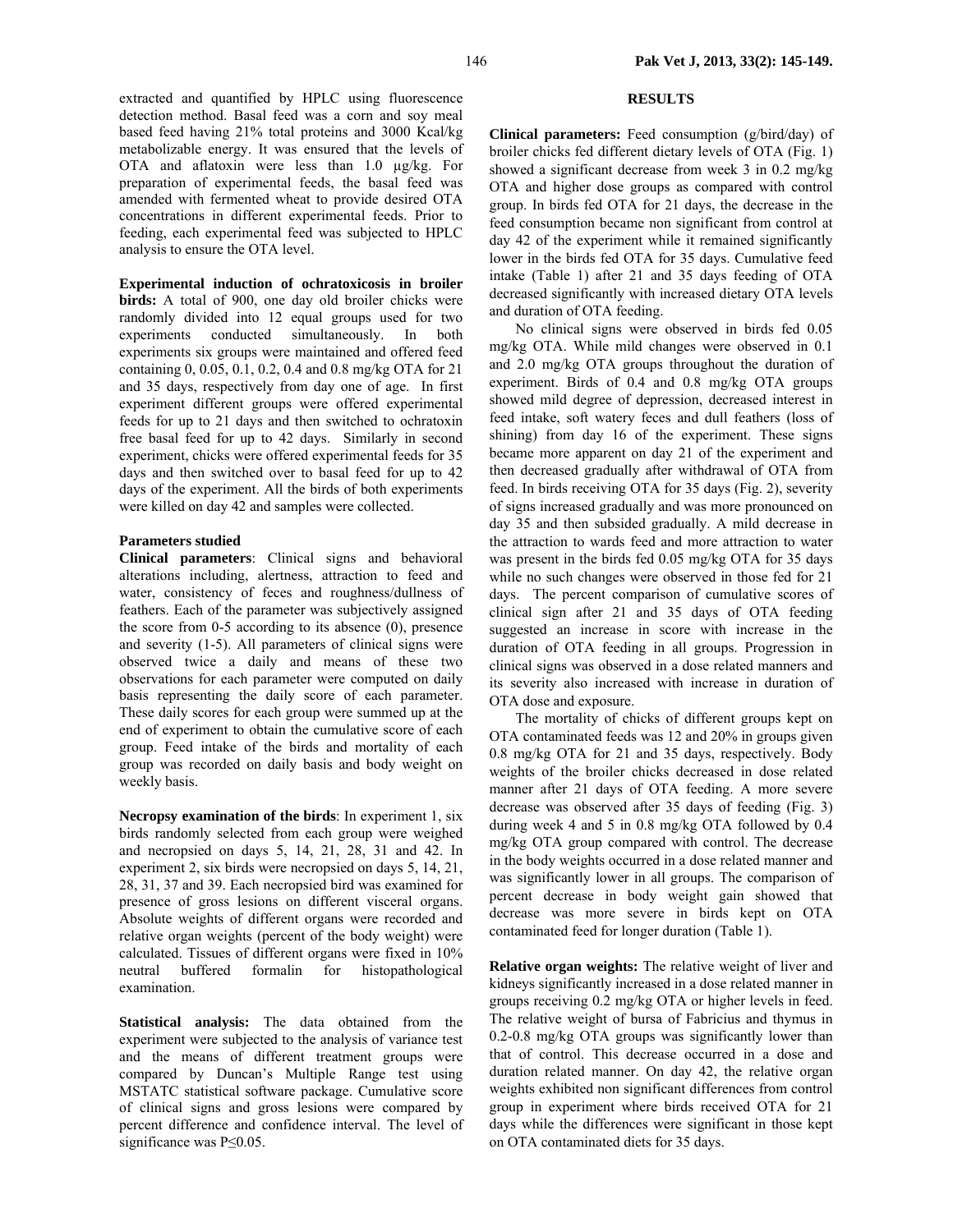extracted and quantified by HPLC using fluorescence detection method. Basal feed was a corn and soy meal based feed having 21% total proteins and 3000 Kcal/kg metabolizable energy. It was ensured that the levels of OTA and aflatoxin were less than 1.0 µg/kg. For preparation of experimental feeds, the basal feed was amended with fermented wheat to provide desired OTA concentrations in different experimental feeds. Prior to feeding, each experimental feed was subjected to HPLC analysis to ensure the OTA level.

**Experimental induction of ochratoxicosis in broiler birds:** A total of 900, one day old broiler chicks were randomly divided into 12 equal groups used for two experiments conducted simultaneously. In both experiments six groups were maintained and offered feed containing 0, 0.05, 0.1, 0.2, 0.4 and 0.8 mg/kg OTA for 21 and 35 days, respectively from day one of age. In first experiment different groups were offered experimental feeds for up to 21 days and then switched to ochratoxin free basal feed for up to 42 days. Similarly in second experiment, chicks were offered experimental feeds for 35 days and then switched over to basal feed for up to 42 days of the experiment. All the birds of both experiments were killed on day 42 and samples were collected.

## **Parameters studied**

**Clinical parameters**: Clinical signs and behavioral alterations including, alertness, attraction to feed and water, consistency of feces and roughness/dullness of feathers. Each of the parameter was subjectively assigned the score from 0-5 according to its absence (0), presence and severity (1-5). All parameters of clinical signs were observed twice a daily and means of these two observations for each parameter were computed on daily basis representing the daily score of each parameter. These daily scores for each group were summed up at the end of experiment to obtain the cumulative score of each group. Feed intake of the birds and mortality of each group was recorded on daily basis and body weight on weekly basis.

**Necropsy examination of the birds**: In experiment 1, six birds randomly selected from each group were weighed and necropsied on days 5, 14, 21, 28, 31 and 42. In experiment 2, six birds were necropsied on days 5, 14, 21, 28, 31, 37 and 39. Each necropsied bird was examined for presence of gross lesions on different visceral organs. Absolute weights of different organs were recorded and relative organ weights (percent of the body weight) were calculated. Tissues of different organs were fixed in 10% neutral buffered formalin for histopathological examination.

**Statistical analysis:** The data obtained from the experiment were subjected to the analysis of variance test and the means of different treatment groups were compared by Duncan's Multiple Range test using MSTATC statistical software package. Cumulative score of clinical signs and gross lesions were compared by percent difference and confidence interval. The level of significance was P≤0.05.

# **RESULTS**

**Clinical parameters:** Feed consumption (g/bird/day) of broiler chicks fed different dietary levels of OTA (Fig. 1) showed a significant decrease from week 3 in 0.2 mg/kg OTA and higher dose groups as compared with control group. In birds fed OTA for 21 days, the decrease in the feed consumption became non significant from control at day 42 of the experiment while it remained significantly lower in the birds fed OTA for 35 days. Cumulative feed intake (Table 1) after 21 and 35 days feeding of OTA decreased significantly with increased dietary OTA levels and duration of OTA feeding.

No clinical signs were observed in birds fed 0.05 mg/kg OTA. While mild changes were observed in 0.1 and 2.0 mg/kg OTA groups throughout the duration of experiment. Birds of 0.4 and 0.8 mg/kg OTA groups showed mild degree of depression, decreased interest in feed intake, soft watery feces and dull feathers (loss of shining) from day 16 of the experiment. These signs became more apparent on day 21 of the experiment and then decreased gradually after withdrawal of OTA from feed. In birds receiving OTA for 35 days (Fig. 2), severity of signs increased gradually and was more pronounced on day 35 and then subsided gradually. A mild decrease in the attraction to wards feed and more attraction to water was present in the birds fed 0.05 mg/kg OTA for 35 days while no such changes were observed in those fed for 21 days. The percent comparison of cumulative scores of clinical sign after 21 and 35 days of OTA feeding suggested an increase in score with increase in the duration of OTA feeding in all groups. Progression in clinical signs was observed in a dose related manners and its severity also increased with increase in duration of OTA dose and exposure.

The mortality of chicks of different groups kept on OTA contaminated feeds was 12 and 20% in groups given 0.8 mg/kg OTA for 21 and 35 days, respectively. Body weights of the broiler chicks decreased in dose related manner after 21 days of OTA feeding. A more severe decrease was observed after 35 days of feeding (Fig. 3) during week 4 and 5 in 0.8 mg/kg OTA followed by 0.4 mg/kg OTA group compared with control. The decrease in the body weights occurred in a dose related manner and was significantly lower in all groups. The comparison of percent decrease in body weight gain showed that decrease was more severe in birds kept on OTA contaminated feed for longer duration (Table 1).

**Relative organ weights:** The relative weight of liver and kidneys significantly increased in a dose related manner in groups receiving 0.2 mg/kg OTA or higher levels in feed. The relative weight of bursa of Fabricius and thymus in 0.2-0.8 mg/kg OTA groups was significantly lower than that of control. This decrease occurred in a dose and duration related manner. On day 42, the relative organ weights exhibited non significant differences from control group in experiment where birds received OTA for 21 days while the differences were significant in those kept on OTA contaminated diets for 35 days.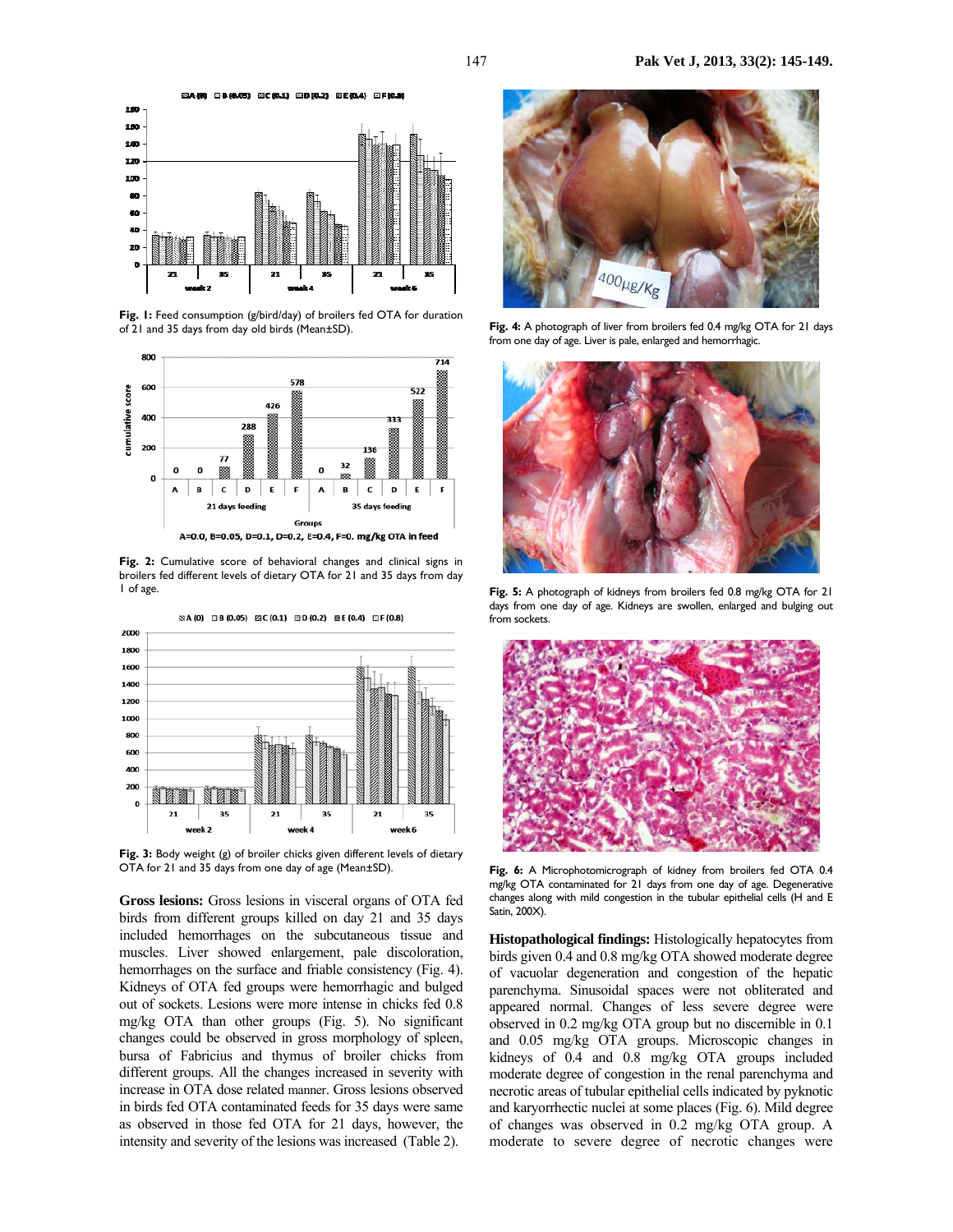

Fig. 1: Feed consumption (g/bird/day) of broilers fed OTA for duration of 21 and 35 days from day old birds (Mean±SD).



Fig. 2: Cumulative score of behavioral changes and clinical signs in broilers fed different levels of dietary OTA for 21 and 35 days from day 1 of age.



**Fig. 3:** Body weight (g) of broiler chicks given different levels of dietary OTA for 21 and 35 days from one day of age (Mean±SD).

**Gross lesions:** Gross lesions in visceral organs of OTA fed birds from different groups killed on day 21 and 35 days included hemorrhages on the subcutaneous tissue and muscles. Liver showed enlargement, pale discoloration, hemorrhages on the surface and friable consistency (Fig. 4). Kidneys of OTA fed groups were hemorrhagic and bulged out of sockets. Lesions were more intense in chicks fed 0.8 mg/kg OTA than other groups (Fig. 5). No significant changes could be observed in gross morphology of spleen, bursa of Fabricius and thymus of broiler chicks from different groups. All the changes increased in severity with increase in OTA dose related manner. Gross lesions observed in birds fed OTA contaminated feeds for 35 days were same as observed in those fed OTA for 21 days, however, the intensity and severity of the lesions was increased (Table 2).



**Fig. 4:** A photograph of liver from broilers fed 0.4 mg/kg OTA for 21 days from one day of age. Liver is pale, enlarged and hemorrhagic.



**Fig. 5:** A photograph of kidneys from broilers fed 0.8 mg/kg OTA for 21 days from one day of age. Kidneys are swollen, enlarged and bulging out from sockets.



**Fig. 6:** A Microphotomicrograph of kidney from broilers fed OTA 0.4 mg/kg OTA contaminated for 21 days from one day of age. Degenerative changes along with mild congestion in the tubular epithelial cells (H and E Satin, 200X).

**Histopathological findings:** Histologically hepatocytes from birds given 0.4 and 0.8 mg/kg OTA showed moderate degree of vacuolar degeneration and congestion of the hepatic parenchyma. Sinusoidal spaces were not obliterated and appeared normal. Changes of less severe degree were observed in 0.2 mg/kg OTA group but no discernible in 0.1 and 0.05 mg/kg OTA groups. Microscopic changes in kidneys of 0.4 and 0.8 mg/kg OTA groups included moderate degree of congestion in the renal parenchyma and necrotic areas of tubular epithelial cells indicated by pyknotic and karyorrhectic nuclei at some places (Fig. 6). Mild degree of changes was observed in 0.2 mg/kg OTA group. A moderate to severe degree of necrotic changes were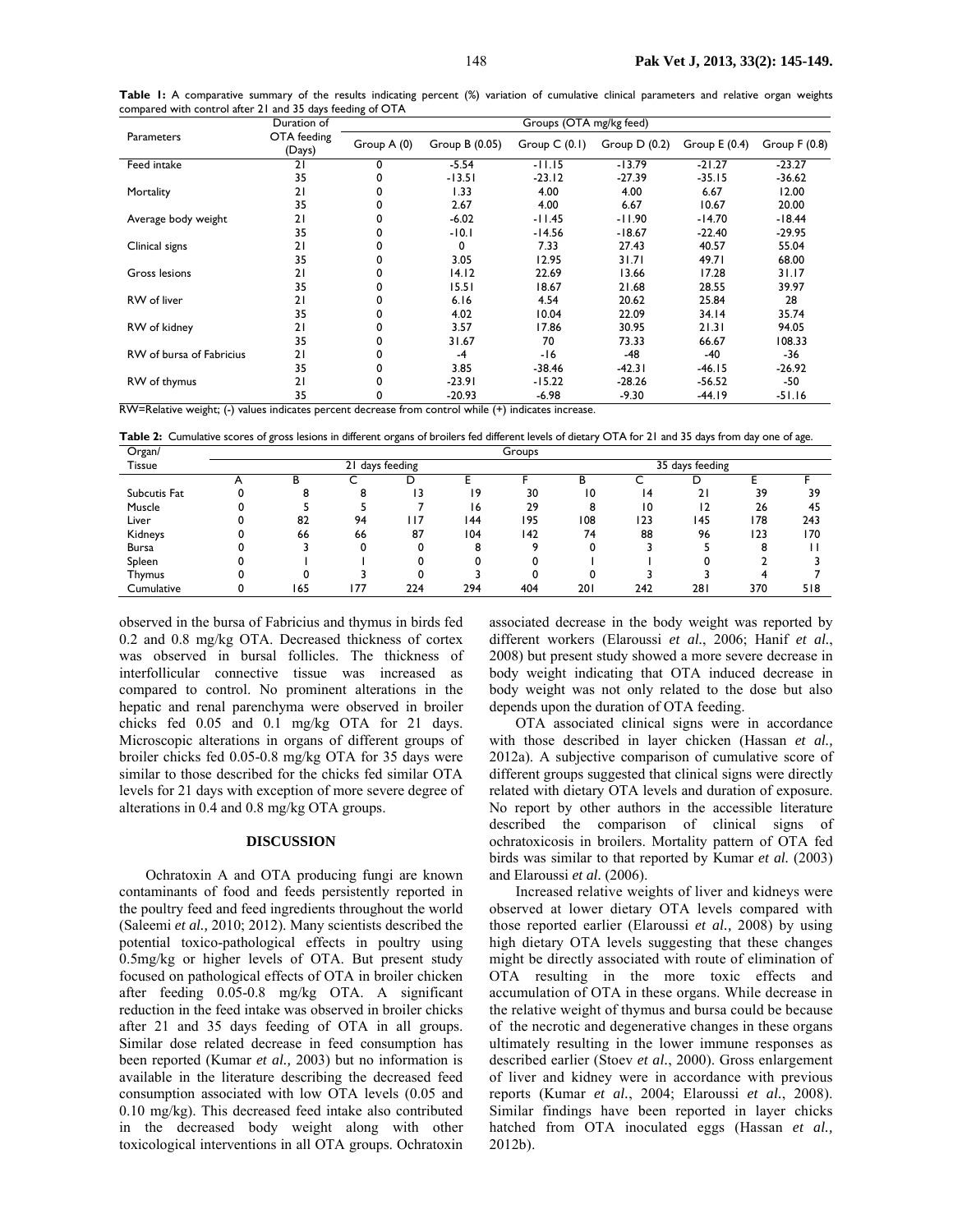|                          | Duration of           | Groups (OTA mg/kg feed) |                |                |                |                |                |  |  |
|--------------------------|-----------------------|-------------------------|----------------|----------------|----------------|----------------|----------------|--|--|
| <b>Parameters</b>        | OTA feeding<br>(Days) | Group A (0)             | Group B (0.05) | Group $C(0.1)$ | Group $D(0.2)$ | Group $E(0.4)$ | Group $F(0.8)$ |  |  |
| Feed intake              | 21                    | 0                       | $-5.54$        | $-11.15$       | $-13.79$       | $-21.27$       | $-23.27$       |  |  |
|                          | 35                    |                         | $-13.51$       | $-23.12$       | $-27.39$       | $-35.15$       | $-36.62$       |  |  |
| Mortality                | 21                    | 0                       | 1.33           | 4.00           | 4.00           | 6.67           | 12.00          |  |  |
|                          | 35                    | 0                       | 2.67           | 4.00           | 6.67           | 10.67          | 20.00          |  |  |
| Average body weight      | 21                    | 0                       | $-6.02$        | -11.45         | -11.90         | $-14.70$       | $-18.44$       |  |  |
|                          | 35                    | 0                       | $-10.1$        | $-14.56$       | $-18.67$       | $-22.40$       | $-29.95$       |  |  |
| Clinical signs           | 21                    | 0                       | 0              | 7.33           | 27.43          | 40.57          | 55.04          |  |  |
|                          | 35                    | 0                       | 3.05           | 12.95          | 31.71          | 49.71          | 68.00          |  |  |
| Gross lesions            | 21                    | 0                       | 14.12          | 22.69          | 13.66          | 17.28          | 31.17          |  |  |
|                          | 35                    | 0                       | 15.51          | 18.67          | 21.68          | 28.55          | 39.97          |  |  |
| RW of liver              | 21                    | 0                       | 6.16           | 4.54           | 20.62          | 25.84          | 28             |  |  |
|                          | 35                    | 0                       | 4.02           | 10.04          | 22.09          | 34.14          | 35.74          |  |  |
| RW of kidney             | 21                    | 0                       | 3.57           | 17.86          | 30.95          | 21.31          | 94.05          |  |  |
|                          | 35                    |                         | 31.67          | 70             | 73.33          | 66.67          | 108.33         |  |  |
| RW of bursa of Fabricius | 21                    | 0                       | $-4$           | $-16$          | $-48$          | -40            | -36            |  |  |
|                          | 35                    |                         | 3.85           | $-38.46$       | $-42.31$       | $-46.15$       | $-26.92$       |  |  |
| RW of thymus             | 21                    | 0                       | $-23.91$       | $-15.22$       | $-28.26$       | $-56.52$       | -50            |  |  |
|                          | 35                    | 0                       | -20.93         | $-6.98$        | -9.30          | -44.19         | -51.16         |  |  |

Table I: A comparative summary of the results indicating percent (%) variation of cumulative clinical parameters and relative organ weights compared with control after 21 and 35 days feeding of OTA

RW=Relative weight; (-) values indicates percent decrease from control while (+) indicates increase.

**Table 2:** Cumulative scores of gross lesions in different organs of broilers fed different levels of dietary OTA for 21 and 35 days from day one of age.

| Organ/       | Groups          |        |     |      |     |     |                 |     |            |     |     |
|--------------|-----------------|--------|-----|------|-----|-----|-----------------|-----|------------|-----|-----|
| Tissue       | 21 days feeding |        |     |      |     |     | 35 days feeding |     |            |     |     |
|              |                 | D<br>n |     | D    |     |     | в               |     |            |     |     |
| Subcutis Fat |                 | 8      | 8   | 13   | 19  | 30  | 10              | 14  | 21         | 39  | 39  |
| Muscle       |                 |        |     |      | 16  | 29  | 8               | 10  | 12         | 26  | 45  |
| Liver        |                 | 82     | 94  | l 17 | 144 | 195 | 108             | 123 | 145        | 178 | 243 |
| Kidneys      |                 | 66     | 66  | 87   | 104 | 142 | 74              | 88  | 96         | 123 | 170 |
| <b>Bursa</b> |                 |        |     |      | 8   |     |                 |     |            | 8   |     |
| Spleen       |                 |        |     |      |     | n   |                 |     |            |     |     |
| Thymus       |                 |        |     |      |     |     |                 |     |            |     |     |
| Cumulative   |                 | 165    | 177 | 224  | 294 | 404 | 201             | 242 | <b>281</b> | 370 | 518 |

observed in the bursa of Fabricius and thymus in birds fed 0.2 and 0.8 mg/kg OTA. Decreased thickness of cortex was observed in bursal follicles. The thickness of interfollicular connective tissue was increased as compared to control. No prominent alterations in the hepatic and renal parenchyma were observed in broiler chicks fed 0.05 and 0.1 mg/kg OTA for 21 days. Microscopic alterations in organs of different groups of broiler chicks fed 0.05-0.8 mg/kg OTA for 35 days were similar to those described for the chicks fed similar OTA levels for 21 days with exception of more severe degree of alterations in 0.4 and 0.8 mg/kg OTA groups.

### **DISCUSSION**

Ochratoxin A and OTA producing fungi are known contaminants of food and feeds persistently reported in the poultry feed and feed ingredients throughout the world (Saleemi *et al.,* 2010; 2012). Many scientists described the potential toxico-pathological effects in poultry using 0.5mg/kg or higher levels of OTA. But present study focused on pathological effects of OTA in broiler chicken after feeding 0.05-0.8 mg/kg OTA. A significant reduction in the feed intake was observed in broiler chicks after 21 and 35 days feeding of OTA in all groups. Similar dose related decrease in feed consumption has been reported (Kumar *et al.,* 2003) but no information is available in the literature describing the decreased feed consumption associated with low OTA levels (0.05 and 0.10 mg/kg). This decreased feed intake also contributed in the decreased body weight along with other toxicological interventions in all OTA groups. Ochratoxin

associated decrease in the body weight was reported by different workers (Elaroussi *et al.*, 2006; Hanif *et al.*, 2008) but present study showed a more severe decrease in body weight indicating that OTA induced decrease in body weight was not only related to the dose but also depends upon the duration of OTA feeding.

OTA associated clinical signs were in accordance with those described in layer chicken (Hassan *et al.,*  2012a). A subjective comparison of cumulative score of different groups suggested that clinical signs were directly related with dietary OTA levels and duration of exposure. No report by other authors in the accessible literature described the comparison of clinical signs of ochratoxicosis in broilers. Mortality pattern of OTA fed birds was similar to that reported by Kumar *et al.* (2003) and Elaroussi *et al.* (2006).

Increased relative weights of liver and kidneys were observed at lower dietary OTA levels compared with those reported earlier (Elaroussi *et al.,* 2008) by using high dietary OTA levels suggesting that these changes might be directly associated with route of elimination of OTA resulting in the more toxic effects and accumulation of OTA in these organs. While decrease in the relative weight of thymus and bursa could be because of the necrotic and degenerative changes in these organs ultimately resulting in the lower immune responses as described earlier (Stoev *et al.*, 2000). Gross enlargement of liver and kidney were in accordance with previous reports (Kumar *et al.*, 2004; Elaroussi *et al.*, 2008). Similar findings have been reported in layer chicks hatched from OTA inoculated eggs (Hassan *et al.,* 2012b).